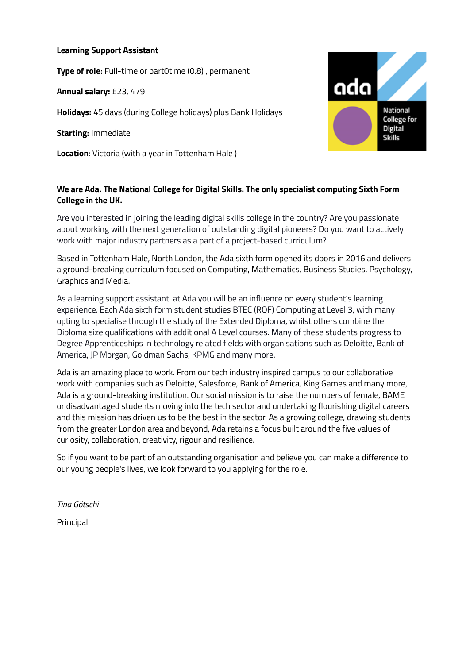#### **Learning Support Assistant**

**Type of role:** Full-time or part0time (0.8) , permanent

**Annual salary:** £23, 479

**Holidays:** 45 days (during College holidays) plus Bank Holidays

**Starting:** Immediate

**Location**: Victoria (with a year in Tottenham Hale )

### **We are Ada. The National College for Digital Skills. The only specialist computing Sixth Form College in the UK.**

Are you interested in joining the leading digital skills college in the country? Are you passionate about working with the next generation of outstanding digital pioneers? Do you want to actively work with major industry partners as a part of a project-based curriculum?

Based in Tottenham Hale, North London, the Ada sixth form opened its doors in 2016 and delivers a ground-breaking curriculum focused on Computing, Mathematics, Business Studies, Psychology, Graphics and Media.

As a learning support assistant at Ada you will be an influence on every student's learning experience. Each Ada sixth form student studies BTEC (RQF) Computing at Level 3, with many opting to specialise through the study of the Extended Diploma, whilst others combine the Diploma size qualifications with additional A Level courses. Many of these students progress to Degree Apprenticeships in technology related fields with organisations such as Deloitte, Bank of America, JP Morgan, Goldman Sachs, KPMG and many more.

Ada is an amazing place to work. From our tech industry inspired campus to our collaborative work with companies such as Deloitte, Salesforce, Bank of America, King Games and many more, Ada is a ground-breaking institution. Our social mission is to raise the numbers of female, BAME or disadvantaged students moving into the tech sector and undertaking flourishing digital careers and this mission has driven us to be the best in the sector. As a growing college, drawing students from the greater London area and beyond, Ada retains a focus built around the five values of curiosity, collaboration, creativity, rigour and resilience.

So if you want to be part of an outstanding organisation and believe you can make a difference to our young people's lives, we look forward to you applying for the role.

*Tina Götschi*

Principal

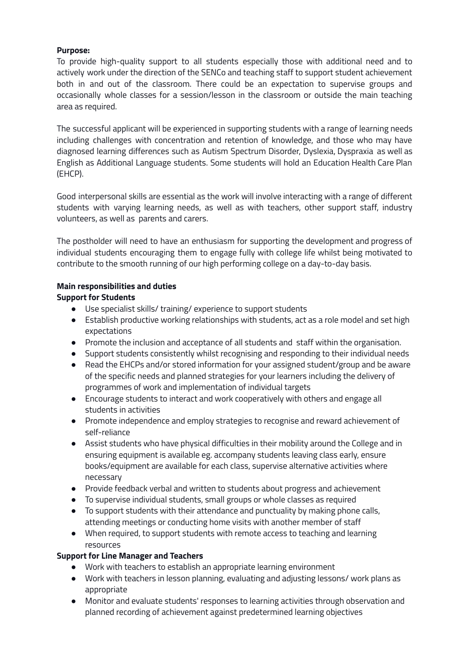### **Purpose:**

To provide high-quality support to all students especially those with additional need and to actively work under the direction of the SENCo and teaching staff to support student achievement both in and out of the classroom. There could be an expectation to supervise groups and occasionally whole classes for a session/lesson in the classroom or outside the main teaching area as required.

The successful applicant will be experienced in supporting students with a range of learning needs including challenges with concentration and retention of knowledge, and those who may have diagnosed learning differences such as Autism Spectrum Disorder, Dyslexia, Dyspraxia as well as English as Additional Language students. Some students will hold an Education Health Care Plan (EHCP).

Good interpersonal skills are essential as the work will involve interacting with a range of different students with varying learning needs, as well as with teachers, other support staff, industry volunteers, as well as parents and carers.

The postholder will need to have an enthusiasm for supporting the development and progress of individual students encouraging them to engage fully with college life whilst being motivated to contribute to the smooth running of our high performing college on a day-to-day basis.

#### **Main responsibilities and duties**

#### **Support for Students**

- Use specialist skills/ training/ experience to support students
- Establish productive working relationships with students, act as a role model and set high expectations
- Promote the inclusion and acceptance of all students and staff within the organisation.
- Support students consistently whilst recognising and responding to their individual needs
- Read the EHCPs and/or stored information for your assigned student/group and be aware of the specific needs and planned strategies for your learners including the delivery of programmes of work and implementation of individual targets
- Encourage students to interact and work cooperatively with others and engage all students in activities
- Promote independence and employ strategies to recognise and reward achievement of self-reliance
- Assist students who have physical difficulties in their mobility around the College and in ensuring equipment is available eg. accompany students leaving class early, ensure books/equipment are available for each class, supervise alternative activities where necessary
- Provide feedback verbal and written to students about progress and achievement
- To supervise individual students, small groups or whole classes as required
- To support students with their attendance and punctuality by making phone calls, attending meetings or conducting home visits with another member of staff
- When required, to support students with remote access to teaching and learning resources

#### **Support for Line Manager and Teachers**

- Work with teachers to establish an appropriate learning environment
- Work with teachers in lesson planning, evaluating and adjusting lessons/ work plans as appropriate
- Monitor and evaluate students' responses to learning activities through observation and planned recording of achievement against predetermined learning objectives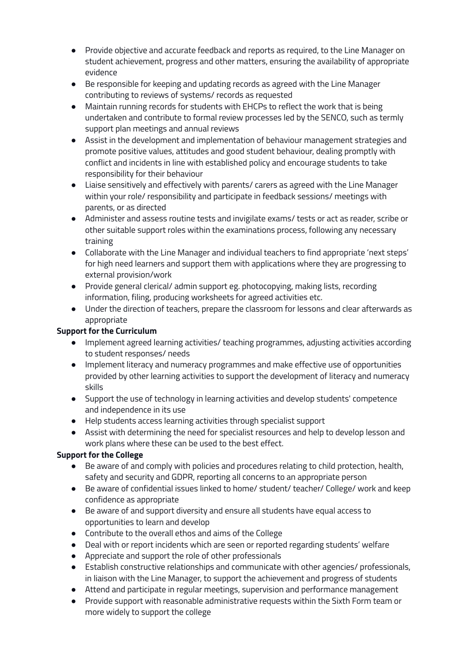- Provide objective and accurate feedback and reports as required, to the Line Manager on student achievement, progress and other matters, ensuring the availability of appropriate evidence
- Be responsible for keeping and updating records as agreed with the Line Manager contributing to reviews of systems/ records as requested
- Maintain running records for students with EHCPs to reflect the work that is being undertaken and contribute to formal review processes led by the SENCO, such as termly support plan meetings and annual reviews
- Assist in the development and implementation of behaviour management strategies and promote positive values, attitudes and good student behaviour, dealing promptly with conflict and incidents in line with established policy and encourage students to take responsibility for their behaviour
- Liaise sensitively and effectively with parents/ carers as agreed with the Line Manager within your role/ responsibility and participate in feedback sessions/ meetings with parents, or as directed
- Administer and assess routine tests and invigilate exams/ tests or act as reader, scribe or other suitable support roles within the examinations process, following any necessary training
- Collaborate with the Line Manager and individual teachers to find appropriate 'next steps' for high need learners and support them with applications where they are progressing to external provision/work
- Provide general clerical/ admin support eg. photocopying, making lists, recording information, filing, producing worksheets for agreed activities etc.
- Under the direction of teachers, prepare the classroom for lessons and clear afterwards as appropriate

## **Support for the Curriculum**

- Implement agreed learning activities/ teaching programmes, adjusting activities according to student responses/ needs
- Implement literacy and numeracy programmes and make effective use of opportunities provided by other learning activities to support the development of literacy and numeracy skills
- Support the use of technology in learning activities and develop students' competence and independence in its use
- Help students access learning activities through specialist support
- Assist with determining the need for specialist resources and help to develop lesson and work plans where these can be used to the best effect.

# **Support for the College**

- Be aware of and comply with policies and procedures relating to child protection, health, safety and security and GDPR, reporting all concerns to an appropriate person
- Be aware of confidential issues linked to home/ student/ teacher/ College/ work and keep confidence as appropriate
- Be aware of and support diversity and ensure all students have equal access to opportunities to learn and develop
- Contribute to the overall ethos and aims of the College
- Deal with or report incidents which are seen or reported regarding students' welfare
- Appreciate and support the role of other professionals
- Establish constructive relationships and communicate with other agencies/ professionals, in liaison with the Line Manager, to support the achievement and progress of students
- Attend and participate in regular meetings, supervision and performance management
- Provide support with reasonable administrative requests within the Sixth Form team or more widely to support the college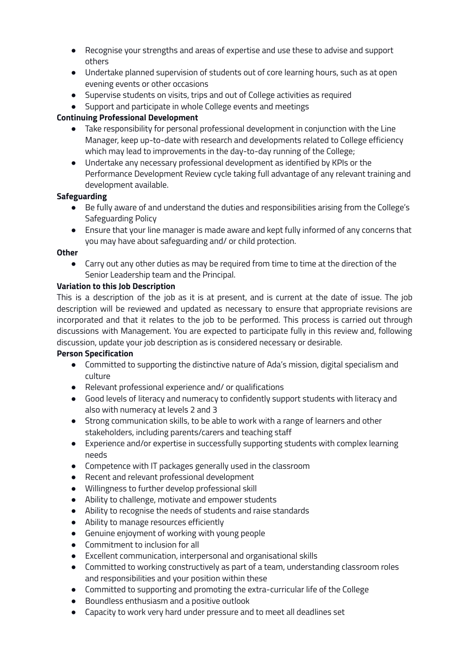- Recognise your strengths and areas of expertise and use these to advise and support others
- Undertake planned supervision of students out of core learning hours, such as at open evening events or other occasions
- Supervise students on visits, trips and out of College activities as required
- Support and participate in whole College events and meetings

### **Continuing Professional Development**

- Take responsibility for personal professional development in conjunction with the Line Manager, keep up-to-date with research and developments related to College efficiency which may lead to improvements in the day-to-day running of the College;
- Undertake any necessary professional development as identified by KPIs or the Performance Development Review cycle taking full advantage of any relevant training and development available.

### **Safeguarding**

- Be fully aware of and understand the duties and responsibilities arising from the College's Safeguarding Policy
- Ensure that your line manager is made aware and kept fully informed of any concerns that you may have about safeguarding and/ or child protection.

#### **Other**

● Carry out any other duties as may be required from time to time at the direction of the Senior Leadership team and the Principal.

### **Variation to this Job Description**

This is a description of the job as it is at present, and is current at the date of issue. The job description will be reviewed and updated as necessary to ensure that appropriate revisions are incorporated and that it relates to the job to be performed. This process is carried out through discussions with Management. You are expected to participate fully in this review and, following discussion, update your job description as is considered necessary or desirable.

### **Person Specification**

- Committed to supporting the distinctive nature of Ada's mission, digital specialism and culture
- Relevant professional experience and/ or qualifications
- Good levels of literacy and numeracy to confidently support students with literacy and also with numeracy at levels 2 and 3
- Strong communication skills, to be able to work with a range of learners and other stakeholders, including parents/carers and teaching staff
- Experience and/or expertise in successfully supporting students with complex learning needs
- Competence with IT packages generally used in the classroom
- Recent and relevant professional development
- Willingness to further develop professional skill
- Ability to challenge, motivate and empower students
- Ability to recognise the needs of students and raise standards
- Ability to manage resources efficiently
- Genuine enjoyment of working with young people
- Commitment to inclusion for all
- Excellent communication, interpersonal and organisational skills
- Committed to working constructively as part of a team, understanding classroom roles and responsibilities and your position within these
- Committed to supporting and promoting the extra-curricular life of the College
- Boundless enthusiasm and a positive outlook
- Capacity to work very hard under pressure and to meet all deadlines set